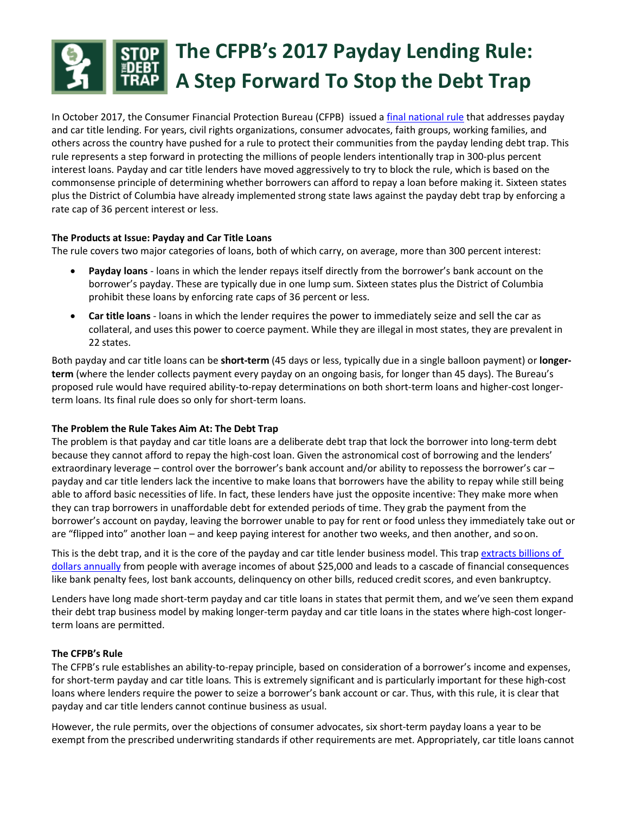

In October 2017, the Consumer Financial Protection Bureau (CFPB) issued [a final national rule](https://www.consumerfinance.gov/about-us/newsroom/cfpb-finalizes-rule-stop-payday-debt-traps/) that addresses payday and car title lending. For years, civil rights organizations, consumer advocates, faith groups, working families, and others across the country have pushed for a rule to protect their communities from the payday lending debt trap. This rule represents a step forward in protecting the millions of people lenders intentionally trap in 300‐plus percent interest loans. Payday and car title lenders have moved aggressively to try to block the rule, which is based on the commonsense principle of determining whether borrowers can afford to repay a loan before making it. Sixteen states plus the District of Columbia have already implemented strong state laws against the payday debt trap by enforcing a rate cap of 36 percent interest or less.

# **The Products at Issue: Payday and Car Title Loans**

The rule covers two major categories of loans, both of which carry, on average, more than 300 percent interest:

- **Payday loans** ‐ loans in which the lender repays itself directly from the borrower's bank account on the borrower's payday. These are typically due in one lump sum. Sixteen states plus the District of Columbia prohibit these loans by enforcing rate caps of 36 percent or less.
- **Car title loans** ‐ loans in which the lender requires the power to immediately seize and sell the car as collateral, and uses this power to coerce payment. While they are illegal in most states, they are prevalent in 22 states.

Both payday and car title loans can be **short‐term** (45 days or less, typically due in a single balloon payment) or **longer‐ term** (where the lender collects payment every payday on an ongoing basis, for longer than 45 days). The Bureau's proposed rule would have required ability‐to‐repay determinations on both short‐term loans and higher‐cost longer‐ term loans. Its final rule does so only for short-term loans.

# **The Problem the Rule Takes Aim At: The Debt Trap**

The problem is that payday and car title loans are a deliberate debt trap that lock the borrower into long-term debt because they cannot afford to repay the high‐cost loan. Given the astronomical cost of borrowing and the lenders' extraordinary leverage – control over the borrower's bank account and/or ability to repossess the borrower's car – payday and car title lenders lack the incentive to make loans that borrowers have the ability to repay while still being able to afford basic necessities of life. In fact, these lenders have just the opposite incentive: They make more when they can trap borrowers in unaffordable debt for extended periods of time. They grab the payment from the borrower's account on payday, leaving the borrower unable to pay for rent or food unless they immediately take out or are "flipped into" another loan – and keep paying interest for another two weeks, and then another, and soon.

This is the debt trap, and it is the core of the payday and car title lender business model. This trap extracts billions of [dollars annually](https://www.responsiblelending.org/sites/default/files/nodes/files/research-publication/crl_statebystate_fee_drain_may2016_0.pdf) from people with average incomes of about \$25,000 and leads to a cascade of financial consequences like bank penalty fees, lost bank accounts, delinquency on other bills, reduced credit scores, and even bankruptcy.

Lenders have long made short-term payday and car title loans in states that permit them, and we've seen them expand their debt trap business model by making longer‐term payday and car title loans in the states where high‐cost longer‐ term loans are permitted.

# **The CFPB's Rule**

The CFPB's rule establishes an ability‐to‐repay principle, based on consideration of a borrower's income and expenses, for short‐term payday and car title loans*.* This is extremely significant and is particularly important for these high‐cost loans where lenders require the power to seize a borrower's bank account or car. Thus, with this rule, it is clear that payday and car title lenders cannot continue business as usual.

However, the rule permits, over the objections of consumer advocates, six short-term payday loans a year to be exempt from the prescribed underwriting standards if other requirements are met. Appropriately, car title loans cannot